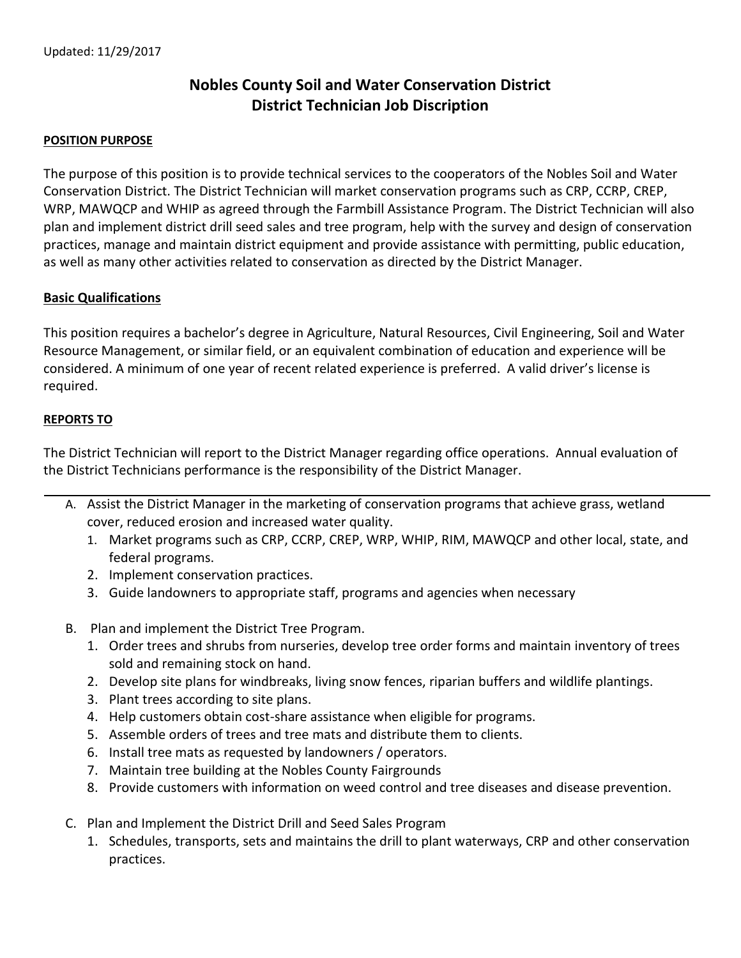## **Nobles County Soil and Water Conservation District District Technician Job Discription**

## **POSITION PURPOSE**

The purpose of this position is to provide technical services to the cooperators of the Nobles Soil and Water Conservation District. The District Technician will market conservation programs such as CRP, CCRP, CREP, WRP, MAWQCP and WHIP as agreed through the Farmbill Assistance Program. The District Technician will also plan and implement district drill seed sales and tree program, help with the survey and design of conservation practices, manage and maintain district equipment and provide assistance with permitting, public education, as well as many other activities related to conservation as directed by the District Manager.

## **Basic Qualifications**

This position requires a bachelor's degree in Agriculture, Natural Resources, Civil Engineering, Soil and Water Resource Management, or similar field, or an equivalent combination of education and experience will be considered. A minimum of one year of recent related experience is preferred. A valid driver's license is required.

## **REPORTS TO**

The District Technician will report to the District Manager regarding office operations. Annual evaluation of the District Technicians performance is the responsibility of the District Manager.

- A. Assist the District Manager in the marketing of conservation programs that achieve grass, wetland cover, reduced erosion and increased water quality.
	- 1. Market programs such as CRP, CCRP, CREP, WRP, WHIP, RIM, MAWQCP and other local, state, and federal programs.
	- 2. Implement conservation practices.
	- 3. Guide landowners to appropriate staff, programs and agencies when necessary
- B. Plan and implement the District Tree Program.
	- 1. Order trees and shrubs from nurseries, develop tree order forms and maintain inventory of trees sold and remaining stock on hand.
	- 2. Develop site plans for windbreaks, living snow fences, riparian buffers and wildlife plantings.
	- 3. Plant trees according to site plans.
	- 4. Help customers obtain cost-share assistance when eligible for programs.
	- 5. Assemble orders of trees and tree mats and distribute them to clients.
	- 6. Install tree mats as requested by landowners / operators.
	- 7. Maintain tree building at the Nobles County Fairgrounds
	- 8. Provide customers with information on weed control and tree diseases and disease prevention.
- C. Plan and Implement the District Drill and Seed Sales Program
	- 1. Schedules, transports, sets and maintains the drill to plant waterways, CRP and other conservation practices.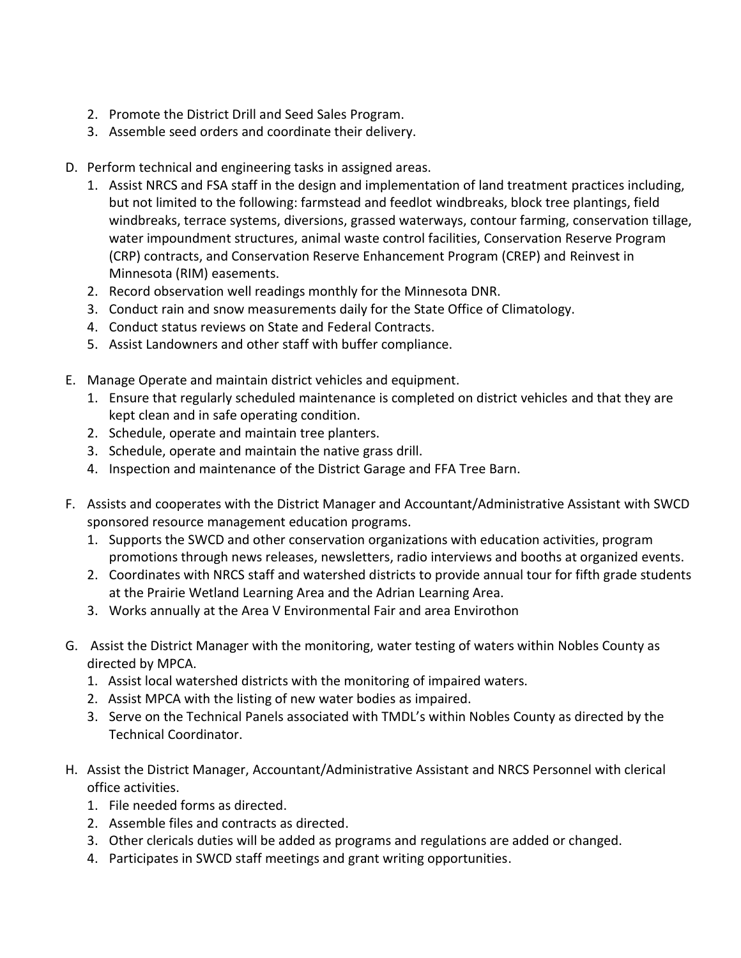- 2. Promote the District Drill and Seed Sales Program.
- 3. Assemble seed orders and coordinate their delivery.
- D. Perform technical and engineering tasks in assigned areas.
	- 1. Assist NRCS and FSA staff in the design and implementation of land treatment practices including, but not limited to the following: farmstead and feedlot windbreaks, block tree plantings, field windbreaks, terrace systems, diversions, grassed waterways, contour farming, conservation tillage, water impoundment structures, animal waste control facilities, Conservation Reserve Program (CRP) contracts, and Conservation Reserve Enhancement Program (CREP) and Reinvest in Minnesota (RIM) easements.
	- 2. Record observation well readings monthly for the Minnesota DNR.
	- 3. Conduct rain and snow measurements daily for the State Office of Climatology.
	- 4. Conduct status reviews on State and Federal Contracts.
	- 5. Assist Landowners and other staff with buffer compliance.
- E. Manage Operate and maintain district vehicles and equipment.
	- 1. Ensure that regularly scheduled maintenance is completed on district vehicles and that they are kept clean and in safe operating condition.
	- 2. Schedule, operate and maintain tree planters.
	- 3. Schedule, operate and maintain the native grass drill.
	- 4. Inspection and maintenance of the District Garage and FFA Tree Barn.
- F. Assists and cooperates with the District Manager and Accountant/Administrative Assistant with SWCD sponsored resource management education programs.
	- 1. Supports the SWCD and other conservation organizations with education activities, program promotions through news releases, newsletters, radio interviews and booths at organized events.
	- 2. Coordinates with NRCS staff and watershed districts to provide annual tour for fifth grade students at the Prairie Wetland Learning Area and the Adrian Learning Area.
	- 3. Works annually at the Area V Environmental Fair and area Envirothon
- G. Assist the District Manager with the monitoring, water testing of waters within Nobles County as directed by MPCA.
	- 1. Assist local watershed districts with the monitoring of impaired waters.
	- 2. Assist MPCA with the listing of new water bodies as impaired.
	- 3. Serve on the Technical Panels associated with TMDL's within Nobles County as directed by the Technical Coordinator.
- H. Assist the District Manager, Accountant/Administrative Assistant and NRCS Personnel with clerical office activities.
	- 1. File needed forms as directed.
	- 2. Assemble files and contracts as directed.
	- 3. Other clericals duties will be added as programs and regulations are added or changed.
	- 4. Participates in SWCD staff meetings and grant writing opportunities.